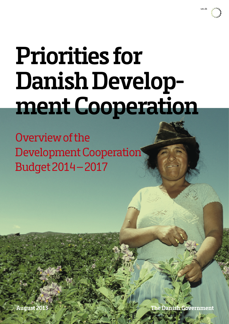

# **Priorities for Danish Development Cooperation**

Overview of the Development Cooperation Budget 2014 – 2017

**August 2013**

Government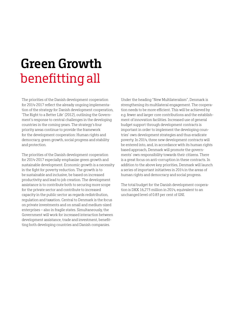### **Green Growth**  benefitting all

The priorities of the Danish development cooperation for 2014-2017 reflect the already ongoing implementation of the strategy for Danish development cooperation, 'The Right to a Better Life' (2012), outlining the Government's response to central challenges in the developing countries in the coming years. The strategy's four priority areas continue to provide the framework for the development cooperation: Human rights and democracy, green growth, social progress and stability and protection.

The priorities of the Danish development cooperation for 2014-2017 especially emphasize green growth and sustainable development. Economic growth is a necessity in the fight for poverty reduction. The growth is to be sustainable and inclusive, be based on increased productivity and lead to job creation. The development assistance is to contribute both to securing more scope for the private sector and contribute to increased capacity in the public sector as regards redistribution, regulation and taxation. Central to Denmark is the focus on private investments and on small and medium-sized enterprises – also in fragile states. Simultaneously, the Government will work for increased interaction between development assistance, trade and investment, benefitting both developing countries and Danish companies.

Under the heading "New Multilateralism", Denmark is strengthening its multilateral engagement. The cooperation needs to be more efficient. This will be achieved by e.g. fewer and larger core contributions and the establishment of innovation facilities. Increased use of general budget support through development contracts is important in order to implement the developing countries' own development strategies and thus eradicate poverty. In 2014, three new development contracts will be entered into, and, in accordance with its human rights based approach, Denmark will promote the governments' own responsibility towards their citizens. There is a great focus on anti-corruption in these contracts. In addition to the above key priorities, Denmark will launch a series of important initiatives in 2014 in the areas of human rights and democracy and social progress.

The total budget for the Danish development cooperation is DKK 16,273 million in 2014, equivalent to an unchanged level of 0.83 per cent of GNI.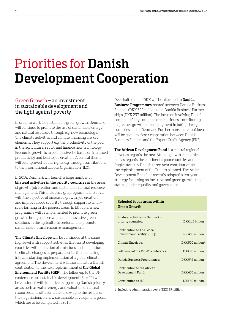### Priorities for **Danish Development Cooperation**

#### Green Growth – an investment in sustainable development and the fight against poverty

In order to work for sustainable green growth, Denmark will continue to promote the use of sustainable energy and natural resources through e.g. new technology. The climate activities and climate financing are key elements. They support e.g. the productivity of the poor in the agricultural sector and finance new technology. Economic growth is to be inclusive, be based on increased productivity and lead to job creation. A central theme will be improved labour rights e.g. through contributions to the International Labour Organisation (ILO).

In 2014, Denmark will launch a large number of **bilateral activities in the priority countries** in the areas of growth, job creation and sustainable natural resource management. This includes e.g. a programme in Bolivia with the objective of increased growth, job creation and improved food security through support to smallscale farming in the poorest areas. In Ethiopia, a new programme will be implemented to promote green growth through job creation and innovative green solutions in the agricultural sector and to promote sustainable natural resource management.

**The Climate Envelope** will be continued at the same high level with support activities that assist developing countries with reduction of emissions and adaptation to climate changes as preparation for them entering into and starting implementation of a global climate agreement. The Government will also allocate a Danish contribution to the next replenishment of **the Global Environment Facility (GEF)**. The follow-up to the UN conference on sustainable development (Rio+20) will be continued with initiatives supporting Danish priority areas such as water, energy and valuation of natural resources and with concrete follow-up to the results of the negotiations on new sustainable development goals, which are to be completed in 2014.

Over half a billion DKK will be allocated to **Danida Business Programmes**, shared between Danida Business Finance (DKK 300 million) and Danida Business Partnerships (DKK 237 million). The focus on involving Danish companies' key competences continues, contributing to greener growth and employment in both priority countries and in Denmark. Furthermore, increased focus will be given to closer cooperation between Danida Business Finance and the Export Credit Agency (EKF).

**The African Development Fund** is a central regional player as regards the new African growth economies and as regards the continent's poor countries and fragile states. A Danish three-year contribution for the replenishment of the Fund is planned. The African Development Bank has recently adopted a ten-year strategy focussing on inclusive and green growth, fragile states, gender equality and governance.

#### **Selected focus areas within Green Growth**

| Bilateral activities in Denmark's<br>priority countries:  | DKK 1.5 billion     |
|-----------------------------------------------------------|---------------------|
| Contribution to The Global<br>Environment Facility (GEF): | DKK 400 million     |
| Climate Envelope:                                         | DKK 500 million $1$ |
| Follow-up of the Rio+20 conference:                       | DKK 90 million      |
| Danida Business Programmes:                               | DKK 542 million     |
| Contribution to the African<br>Development Fund:          | DKK 630 million     |
| Contribution to ILO:                                      | DKK 40 million      |

1 Including administration cost of DKK 25 million.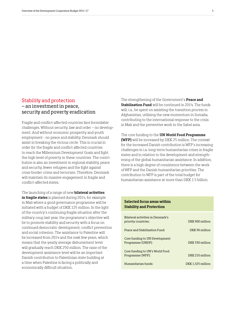#### Stability and protection – an investment in peace, security and poverty eradication

Fragile and conflict-affected countries face formidable challenges. Without security, law and order – no development. And without economic prosperity and youth employment - no peace and stability. Denmark should assist in breaking the vicious circle. This is crucial in order for the fragile and conflict affected countries to reach the Millennium Development Goals and fight the high level of poverty in these countries. The contribution is also an investment in regional stability, peace and security, fewer refugees and the fight against cross-border crime and terrorism. Therefore, Denmark will maintain its massive engagement in fragile and conflict-affected states.

The launching of a range of new **bilateral activities in fragile states** is planned during 2014, for example in Mali where a good governance programme will be initiated with a budget of DKK 125 million. In the light of the country's continuing fragile situation after the military coup last year, the programme's objective will be to promote stability and security with a focus on continued democratic development, conflict prevention and social cohesion. The assistance to Palestine will be increased from 2014 and the next few years, which means that the yearly average disbursement level will gradually reach DKK 250 million. The raise of the development assistance level will be an important Danish contribution to Palestinian state building at a time when Palestine is facing a politically and economically difficult situation.

The strengthening of the Government's **Peace and Stabilisation Fund** will be continued in 2014. The funds will, i.a., be spent on assisting the transition process in Afghanistan, utilising the new momentum in Somalia, contributing to the international response to the crisis in Mali and the preventive work in the Sahel area.

#### The core funding to the **UN World Food Programme (WFP)** will be increased by DKK 25 million. The context for the increased Danish contribution is WFP's increasing challenges in i.a. long-term humanitarian crises in fragile states and in relation to the development and strengthening of the global humanitarian assistance. In addition, there is a high degree of consistence between the work of WFP and the Danish humanitarian priorities. The contribution to WFP is part of the total budget for humanitarian assistance at more than DKK 1.5 billion.

#### **Selected focus areas within Stability and Protection**

| Bilateral activities in Denmark's<br>priority countries: | DKK 900 million   |
|----------------------------------------------------------|-------------------|
| Peace and Stabilisation Fund:                            | DKK 90 million    |
| Core funding to UN Development<br>Programme (UNDP):      | DKK 330 million   |
| Core funding to UN's World Food<br>Programme (WFP):      | DKK 210 million   |
| Humanitarian funds:                                      | DKK 1.525 million |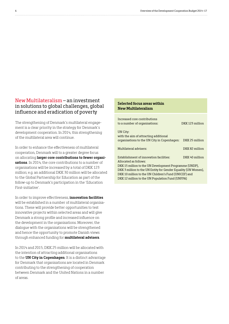#### New Multilateralism – an investment in solutions to global challenges, global influence and eradication of poverty

The strengthening of Denmark's multilateral engagement is a clear priority in the strategy for Denmark's development cooperation. In 2014, this strengthening of the multilateral area will continue.

In order to enhance the effectiveness of multilateral cooperation, Denmark will to a greater degree focus on allocating **larger core contributions to fewer organisations**. In 2014, the core contributions to a number of organisations will be increased by a total of DKK 123 million; e.g. an additional DKK 30 million will be allocated to the Global Partnership for Education as part of the follow-up to Denmark's participation in the 'Education First-initiative'.

In order to improve effectiveness, **innovation facilities**  will be established in a number of multilateral organisations. These will provide better opportunities to test innovative projects within selected areas and will give Denmark a strong profile and increased influence on the development in the organisations. Moreover, the dialogue with the organisations will be strengthened and hence the opportunity to promote Danish views through enhanced funding for **multilateral advisers**.

In 2014 and 2015, DKK 25 million will be allocated with the intention of attracting additional organisations to the **UN City in Copenhagen**. It is a distinct advantage for Denmark that organisations are located in Denmark contributing to the strengthening of cooperation between Denmark and the United Nations in a number of areas.

#### **Selected focus areas within New Multilateralism**

| Increased core contributions                                   |                 |
|----------------------------------------------------------------|-----------------|
| to a number of organisations:                                  | DKK 123 million |
| UN City:<br>with the aim of attracting additional              |                 |
|                                                                |                 |
| organisations to the UN City in Copenhagen:                    | DKK 25 million  |
| Multilateral advisers:                                         | DKK 82 million  |
|                                                                |                 |
| <b>Establishment of innovation facilities:</b>                 | DKK 40 million  |
| Allocated as follows:                                          |                 |
| DKK 15 million to the UN Development Programme (UNDP),         |                 |
| DKK 3 million to the UN Entity for Gender Equality (UN Women), |                 |
| DKK 10 million to the UN Children's Fund (UNICEF) and          |                 |
| DKK 12 million to the UN Population Fund (UNFPA)               |                 |
|                                                                |                 |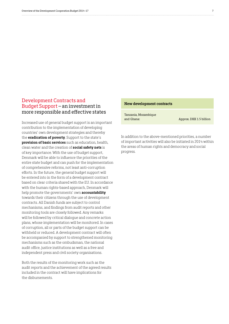#### Development Contracts and Budget Support – an investment in more responsible and effective states

Increased use of general budget support is an important contribution to the implementation of developing countries' own development strategies and thereby the **eradication of poverty**. Support to the state's **provision of basic services** such as education, health, clean water and the creation of **social safety nets** is of key importance. With the use of budget support, Denmark will be able to influence the priorities of the entire state budget and can push for the implementation of comprehensive reforms, not least anti-corruption efforts. In the future, the general budget support will be entered into in the form of a development contract based on clear criteria shared with the EU. In accordance with the human rights-based approach, Denmark will help promote the governments' own **accountability** towards their citizens through the use of development contracts. All Danish funds are subject to control mechanisms, and findings from audit reports and other monitoring tools are closely followed. Any remarks will be followed by critical dialogue and concrete action plans, whose implementation will be monitored. In cases of corruption, all or parts of the budget support can be withheld or reduced. A development contract will often be accompanied by support to strengthened monitoring mechanisms such as the ombudsman, the national audit office, justice institutions as well as a free and independent press and civil society organisations.

Both the results of the monitoring work such as the audit reports and the achievement of the agreed results included in the contract will have implications for the disbursements.

#### **New development contracts**

Tanzania, Mozambique and Ghana: Approx. DKK 1.5 billion

In addition to the above-mentioned priorities, a number of important activities will also be initiated in 2014 within the areas of human rights and democracy and social progress.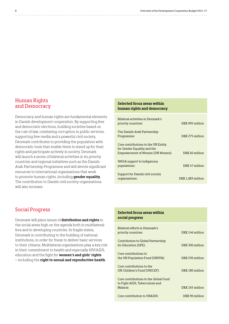#### Human Rights and Democracy

Democracy and human rights are fundamental elements in Danish development cooperation. By supporting free and democratic elections, building societies based on the rule of law, combating corruption in public services, supporting free media and a powerful civil society, Denmark contributes to providing the population with democratic tools that enable them to stand up for their rights and participate actively in society. Denmark will launch a series of bilateral activities in its priority countries and regional initiatives such as the Danish-Arab Partnership Programme and will devote significant resources to international organisations that work to promote human rights, including **gender equality**. The contribution to Danish civil society organisations will also increase.

#### **Selected focus areas within human rights and democracy**

| Bilateral activities in Denmark's<br>priority countries:                                               | DKK 995 million   |
|--------------------------------------------------------------------------------------------------------|-------------------|
| The Danish-Arab Partnership<br>Programme:                                                              | DKK 275 million   |
| Core contributions to the UN Entity<br>for Gender Equality and the<br>Empowerment of Women (UN Women): | DKK 60 million    |
| <b>IWGIA</b> support to indigenous<br>populations:                                                     | DKK 47 million    |
| Support for Danish civil society<br>organisations:                                                     | DKK 1.083 million |

#### Social Progress

Denmark will place issues of **distribution and rights** in the social areas high on the agenda both in multilateral fora and in developing countries. In fragile states, Denmark is contributing to the building of national institutions, in order for these to deliver basic services to their citizens. Multilateral organisations play a key role in their commitment to health and especially HIV/AIDS, education and the fight for **women's and girls' rights** – including the **right to sexual and reproductive health**.

#### **Selected focus areas within social progress**

| Bilateral efforts in Denmark's<br>priority countries:                    | DKK 146 million |
|--------------------------------------------------------------------------|-----------------|
| Contribution to Global Partnership<br>for Education (GPE):               | DKK 300 million |
| Core contributions to<br>the UN Population Fund (UNFPA):                 | DKK 230 million |
| Core contributions to the<br>UN Children's Fund (UNICEF):                | DKK 180 million |
| Core contributions to the Global Fund<br>to Fight AIDS, Tuberculosis and |                 |
| Malaria:                                                                 | DKK 165 million |
| Core contribution to UNAIDS:                                             | DKK 90 million  |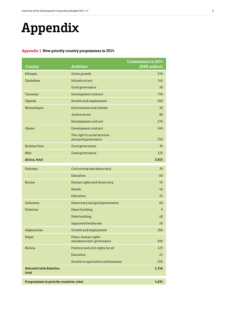## **Appendix**

#### **Appendix 1 New priority country programmes in 2014**

| Country                                 | <b>Activities</b>                                   | <b>Commitment in 2014</b><br>(DKK million) |
|-----------------------------------------|-----------------------------------------------------|--------------------------------------------|
| Ethiopia                                | Green growth                                        | 150                                        |
| Zimbabwe                                | Infrastructure                                      | 145                                        |
|                                         | Good governance                                     | 30                                         |
| Tanzania                                | Development contract                                | 750                                        |
| Uganda                                  | Growth and employment                               | 500                                        |
| Mozambique                              | Environment and climate                             | 30                                         |
|                                         | Justice sector                                      | 80                                         |
|                                         | Development contract                                | 270                                        |
| Ghana                                   | Development contract                                | 450                                        |
|                                         | The right to social services<br>and good governance | 250                                        |
| <b>Burkina Faso</b>                     | Good governance                                     | 35                                         |
| Mali                                    | Good governance                                     | 125                                        |
| Africa, total                           |                                                     | 2,815                                      |
| Pakistan                                | Civil society and democracy                         | 35                                         |
|                                         | Education                                           | 60                                         |
| <b>Burma</b>                            | Human rights and democracy                          | 55                                         |
|                                         | Health                                              | 40                                         |
|                                         | Education                                           | 25                                         |
| Indonesia                               | Democracy and good governance                       | 60                                         |
| Palestine                               | Peace building                                      | 5                                          |
|                                         | State building                                      | 60                                         |
|                                         | Improved livelihoods                                | 20                                         |
| Afghanistan                             | Growth and employment                               | 260                                        |
| Nepal                                   | Peace, human rights<br>and democratic governance    | 200                                        |
| <b>Bolivia</b>                          | Political and civil rights for all                  | 125                                        |
|                                         | Education                                           | 21                                         |
|                                         | Growth in agriculture and business                  | 250                                        |
| Asia and Latin America,<br>total        |                                                     | 1,216                                      |
| Programmes in priority countries, total |                                                     | 4,031                                      |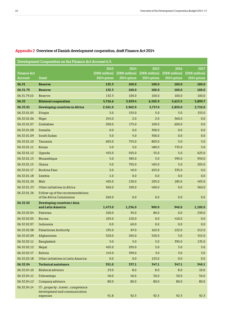$\cdots$ 

| Development Cooperation on the Finance Act Account 6.3. |                                                                      |                              |                              |                              |                              |                              |
|---------------------------------------------------------|----------------------------------------------------------------------|------------------------------|------------------------------|------------------------------|------------------------------|------------------------------|
|                                                         |                                                                      | 2013                         | 2014                         | 2015                         | 2016                         | 2017                         |
| <b>Finance Act</b><br><b>Account</b>                    | Grant                                                                | (DKK million)<br>2014-prices | (DKK million)<br>2014-prices | (DKK million)<br>2014-prices | (DKK million)<br>2014-prices | (DKK million)<br>2014-prices |
| 06.31                                                   | <b>Reserve</b>                                                       | 132.3                        | 100.0                        | 100.0                        | 100.0                        | 100.0                        |
| 06.31.79                                                | <b>Reserve</b>                                                       | 132.3                        | 100.0                        | 100.0                        | 100.0                        | 100.0                        |
| 06.31.79.10                                             | Reserve                                                              | 132.3                        | 100.0                        | 100.0                        | 100.0                        | 100.0                        |
| 06.32                                                   | <b>Bilateral cooperation</b>                                         | 5,716.6                      | 5,929.4                      | 6,502.9                      | 5,613.5                      | 5,899.7                      |
| 06.32.01                                                | Developing countries in Africa                                       | 2,561.0                      | 2,962.0                      | 3,717.0                      | 2,830.0                      | 2,710.0                      |
| 06.32.01.05                                             | Etiopia                                                              | 5.0                          | 155.0                        | 5.0                          | 5.0                          | 155.0                        |
| 06.32.01.06                                             | Niger                                                                | 245.0                        | 2.0                          | 2.0                          | 360.0                        | 0.0                          |
| 06.32.01.07                                             | Zimbabwe                                                             | 200.0                        | 175.0                        | 100.0                        | 600.0                        | 0.0                          |
| 06.32.01.08                                             | Somalia                                                              | 0.0                          | 0.0                          | 300.0                        | 0.0                          | 0.0                          |
| 06.32.01.09                                             | South Sudan                                                          | 5.0                          | 5.0                          | 300.0                        | 0.0                          | 0.0                          |
| 06.32.01.10                                             | Tanzania                                                             | 605.0                        | 755.0                        | 805.0                        | 5.0                          | 5.0                          |
| 06.32.01.11                                             | Kenya                                                                | 5.0                          | 5.0                          | 480.0                        | 735.0                        | 5.0                          |
| 06.32.01.12                                             | Uganda                                                               | 455.0                        | 505.0                        | 55.0                         | 5.0                          | 625.0                        |
| 06.32.01.13                                             | Mozambique                                                           | 5.0                          | 385.0                        | 5.0                          | 595.0                        | 950.0                        |
| 06.32.01.15                                             | Ghana                                                                | 5.0                          | 705.0                        | 405.0                        | 5.0                          | 205.0                        |
| 06.32.01.17                                             | <b>Burkina Faso</b>                                                  | 5.0                          | 40.0                         | 655.0                        | 335.0                        | 0.0                          |
| 06.32.01.18                                             | Zambia                                                               | 1.0                          | 0.0                          | 0.0                          | 0.0                          | 0.0                          |
| 06.32.01.20                                             | Mali                                                                 | 405.0                        | 130.0                        | 205.0                        | 185.0                        | 405.0                        |
| 06.32.01.23                                             | Other initiatives in Africa                                          | 360.0                        | 100.0                        | 400.0                        | 0.0                          | 360.0                        |
| 06.32.01.26                                             | Follow-up of the recommendations<br>of the Africa Commission         | 260.0                        | 0.0                          | 0.0                          | 0.0                          | 0.0                          |
| 06.32.02                                                | Developing countries i Asia                                          |                              |                              |                              |                              |                              |
|                                                         | and Latin America                                                    | 1,473.0                      | 1,236.0                      | 900.0                        | 940.0                        | 1,100.0                      |
| 06.32.02.04                                             | Pakistan                                                             | 100.0                        | 95.0                         | 80.0                         | 0.0                          | 230.0                        |
| 06.32.02.05                                             | <b>Burma</b>                                                         | 105.0                        | 120.0                        | 0.0                          | 410.0                        | 0.0                          |
| 06.32.02.07                                             | Indonesia                                                            | 0.0                          | 60.0                         | 0.0                          | 0.0                          | 0.0                          |
| 06.32.02.08                                             | <b>Palastinian Authority</b>                                         | 195.0                        | 87.0                         | 162.0                        | 122.0                        | 212.0                        |
| 06.32.02.09                                             | Afghanistan                                                          | 520.0                        | 265.0                        | 520.0                        | 5.0                          | 515.0                        |
| 06.32.02.11                                             | <b>Bangladesh</b>                                                    | 5.0                          | 5.0                          | 5.0                          | 395.0                        | 135.0                        |
| 06.32.02.12                                             | Nepal                                                                | 405.0                        | 205.0                        | 5.0                          | 5.0                          | 5.0                          |
| 06.32.02.17                                             | <b>Bolivia</b>                                                       | 143.0                        | 399.0                        | 3.0                          | 3.0                          | 3.0                          |
| 06.32.02.18                                             | Other initiatives in Latin America                                   | 0.0                          | 0.0                          | 125.0                        | 0.0                          | 0.0                          |
| 06.32.04                                                | <b>Technical assistance</b>                                          | 351.0                        | 337.1                        | 347.1                        | 347.1                        | 349.1                        |
| 06.32.04.10                                             | <b>Bilateral advisors</b>                                            | 23.0                         | 8.0                          | 8.0                          | 8.0                          | $10.0\,$                     |
| 06.32.04.11                                             | Fellowships                                                          | 40.0                         | 40.0                         | 50.0                         | 50.0                         | 50.0                         |
| 06.32.04.12                                             | Company advisors                                                     | 80.0                         | 80.0                         | 80.0                         | 80.0                         | 80.0                         |
| 06.32.04.14                                             | IT-, property-, travel-, competence<br>development and communication |                              |                              |                              |                              |                              |
|                                                         | expenses                                                             | 91.8                         | 92.3                         | 92.3                         | 92.3                         | 92.3                         |

#### **Appendix 2 Overview of Danish development cooperation, draft Finance Act 2014**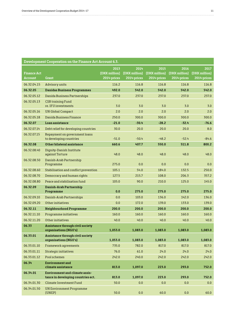#### **Development Cooperation on the Finance Act Account 6.3.**

| <b>Finance Act</b><br><b>Account</b> | Grant                                                                       | 2013<br>(DKK million)<br>2014-prices | 2014<br>(DKK million)<br>2014-prices | 2015<br>(DKK million)<br>2014-prices | 2016<br>(DKK million)<br>2014-prices | 2017<br>(DKK million)<br>2014-prices |
|--------------------------------------|-----------------------------------------------------------------------------|--------------------------------------|--------------------------------------|--------------------------------------|--------------------------------------|--------------------------------------|
| 06.32.04.15                          | Advisory units                                                              | 116.2                                | 116.8                                | 116.8                                | 116.8                                | 116.8                                |
| 06.32.05                             | <b>Danidas Business Programmes</b>                                          | 492.0                                | 542.0                                | 542.0                                | 542.0                                | 542.0                                |
| 06.32.05.12                          | Danida Business Partnerships                                                | 237.0                                | 237.0                                | 237.0                                | 237.0                                | 237.0                                |
| 06.32.05.13                          | <b>CSR training Fund</b><br>re. IFU investments                             | 3.0                                  | 3.0                                  | 3.0                                  | 3.0                                  | 3.0                                  |
| 06.32.05.16                          | <b>UN Global Compact</b>                                                    | 2.0                                  | 2.0                                  | 2.0                                  | 2.0                                  | 2.0                                  |
| 06.32.05.18                          | Danida Business Finance                                                     | 250.0                                | 300.0                                | 300.0                                | 300.0                                | 300.0                                |
| 06.32.07                             | Loan assistance                                                             | $-21.0$                              | $-30.4$                              | $-28.2$                              | $-32.4$                              | $-76.6$                              |
| 06.32.07.14                          | Debt relief for developing countries                                        | 30.0                                 | 20.0                                 | 20.0                                 | 20.0                                 | 8.0                                  |
| 06.32.07.15                          | Repayment on government loans<br>to developing countries                    | $-51.0$                              | $-50.4$                              | $-48.2$                              | $-52.4$                              | $-84.6$                              |
| 06.32.08                             | Other bilateral assistance                                                  | 660.6                                | 407.7                                | 550.0                                | 511.8                                | 800.2                                |
| 06.32.08.40                          | Dignity-Danish Institute<br>against Torture                                 | 48.0                                 | 48.0                                 | 48.0                                 | 48.0                                 | 48.0                                 |
| 06.32.08.50                          | Danish-Arab Partnership<br>Programme                                        | 275.0                                | 0.0                                  | 0.0                                  | 0.0                                  | 0.0                                  |
| 06.32.08.60                          | Stabilisation and conflict prevention                                       | 105.1                                | 54.0                                 | 184.0                                | 132.5                                | 250.0                                |
| 06.32.08.70                          | Democracy and human rights                                                  | 127.5                                | 215.7                                | 108.0                                | 206.3                                | 357.2                                |
| 06.32.08.80                          | Peace and stabilisation fund                                                | 105.0                                | 90.0                                 | 210.0                                | 125.0                                | 145.0                                |
| 06.32.09                             | Danish-Arab Partnership                                                     |                                      |                                      |                                      |                                      |                                      |
|                                      | Programme                                                                   | 0.0                                  | 275.0                                | 275.0                                | 275.0                                | 275.0                                |
| 06.32.09.10                          | Danish-Arab Partnerships                                                    | 0.0                                  | 103.0                                | 136.0                                | 142.0                                | 136.0                                |
| 06.32.09.20<br>06.32.11              | Other initiatives                                                           | 0.0                                  | 172.0                                | 139.0                                | 133.0<br>200.0                       | 139.0<br>200.0                       |
| 06.32.11.10                          | Neighbourhood Programme                                                     | 200.0<br>160.0                       | 200.0<br>160.0                       | 200.0<br>160.0                       | 160.0                                | 160.0                                |
| 06.32.11.20                          | Programme initiatives<br>Other initiatives                                  | 40.0                                 | 40.0                                 | 40.0                                 | 40.0                                 | 40.0                                 |
| 06.33                                | Assistance through civil society                                            |                                      |                                      |                                      |                                      |                                      |
|                                      | organisations (NGO's)                                                       | 1,053.0                              | 1,083.0                              | 1,083.0                              | 1,083.0                              | 1,083.0                              |
| 06.33.01                             | Assistance through civil society<br>organisations (NGO's)                   | 1,053.0                              | 1,083.0                              | 1,083.0                              | 1,083.0                              | 1,083.0                              |
| 06.33.01.10                          | Framework agreements                                                        | 735.0                                | 782.0                                | 817.0                                | 817.0                                | 817.0                                |
| 06.33.01.11                          | Strategic initiatives                                                       | 76.0                                 | 61.0                                 | 24.0                                 | 24.0                                 | 24.0                                 |
| 06.33.01.12                          | Pool schemes                                                                | 242.0                                | 240.0                                | 242.0                                | 242.0                                | 242.0                                |
| 06.34                                | <b>Environment</b> and<br>climate assistance                                | 813.0                                | 1,097.0                              | 223.0                                | 293.0                                | 752.0                                |
| 06.34.01                             | <b>Environment and climate assis-</b><br>tance in developing countries ect. | 813.0                                | 1,097.0                              | 223.0                                | 293.0                                | 752.0                                |
| 06.34.01.30                          | <b>Climate Investment Fund</b>                                              | 50.0                                 | 0.0                                  | 0.0                                  | 0.0                                  | 0.0                                  |
| 06.34.01.50                          | <b>UN Environment Programme</b><br>(UNEP)                                   | 50.0                                 | 0.0                                  | 60.0                                 | 0.0                                  | 60.0                                 |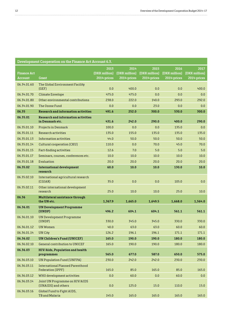. . . . .

| Development Cooperation on the Finance Act Account 6.3. |                                                               |               |               |               |               |               |
|---------------------------------------------------------|---------------------------------------------------------------|---------------|---------------|---------------|---------------|---------------|
|                                                         |                                                               | 2013          | 2014          | 2015          | 2016          | 2017          |
| <b>Finance Act</b>                                      |                                                               | (DKK million) | (DKK million) | (DKK million) | (DKK million) | (DKK million) |
| Account                                                 | Grant                                                         | 2014-prices   | 2014-prices   | 2014-prices   | 2014-prices   | 2014-prices   |
| 06.34.01.60                                             | The Global Environment Facility<br>(GEF)                      | 0.0           | 400.0         | 0.0           | 0.0           | 400.0         |
| 06.34.01.70                                             | <b>Climate Envelope</b>                                       | 475.0         | 475.0         | 0.0           | 0.0           | 0.0           |
| 06.34.01.80                                             | Other environmental contributions                             | 238.0         | 222.0         | 140.0         | 293.0         | 292.0         |
| 06.34.01.90                                             | The Ozone Fund                                                | 0.0           | 0.0           | 23.0          | 0.0           | 0.0           |
| 06.35                                                   | <b>Research and information activities</b>                    | 491.6         | 252.0         | 300.0         | 530.0         | 300.0         |
| 06.35.01                                                | <b>Research and information activities</b><br>in Denmark etc. | 431.6         | 242.0         | 290.0         | 400.0         | 290.0         |
| 06.35.01.10                                             | <b>Projects in Denmark</b>                                    | 100.0         | 0.0           | 0.0           | 135.0         | 0.0           |
| 06.35.01.11                                             | Research activities                                           | 135.0         | 155.0         | 135.0         | 135.0         | 135.0         |
| 06.35.01.13                                             | Information activities                                        | 44.0          | 50.0          | 50.0          | 50.0          | 50.0          |
| 06.35.01.14                                             | Cultural cooperation (CKU)                                    | 110.0         | 0.0           | 70.0          | 45.0          | 70.0          |
| 06.35.01.15                                             | Fact-finding activities                                       | 12.6          | 7.0           | 5.0           | 5.0           | 5.0           |
| 06.35.01.17                                             | Seminars, courses, conferences etc.                           | 10.0          | 10.0          | 10.0          | 10.0          | 10.0          |
| 06.35.01.18                                             | Evaluation                                                    | 20.0          | 20.0          | 20.0          | 20.0          | 20.0          |
| 06.35.02                                                | <b>International development</b><br>research                  | 60.0          | 10.0          | 10.0          | 130.0         | 10.0          |
| 06.35.02.10                                             | International agricultural research<br>(CGIAR)                | 35.0          | 0.0           | 0.0           | 105.0         | 0.0           |
| 06.35.02.11                                             | Other international development<br>research                   | 25.0          | 10.0          | 10.0          | 25.0          | 10.0          |
| 06.36                                                   | Multilateral assistance through<br>the UN etc.                | 1,367.9       | 1,665.0       | 1,649.5       | 1,668.0       | 1,564.0       |
| 06.36.01                                                | <b>UN Development Programme</b><br>(UNDP)                     | 496.2         | 604.1         | 604.1         | 561.1         | 561.1         |
| 06.36.01.10                                             | <b>UN Development Programme</b>                               |               |               |               |               |               |
|                                                         | (UNDP)                                                        | 330.0         | 345.0         | 345.0         | 330.0         | 330.0         |
| 06.36.01.12                                             | <b>UN Women</b>                                               | 40.0          | 63.0          | 63.0          | 60.0          | 60.0          |
| 06.36.01.14                                             | UN City                                                       | 126.2         | 196.1         | 196.1         | 171.1         | 171.1         |
| 06.36.02                                                | UN Children's Fund (UNICEF)                                   | 165.0         | 190.0         | 190.0         | 180.0         | 180.0         |
| 06.36.02.10                                             | General contribution to UNICEF                                | 165.0         | 190.0         | 190.0         | 180.0         | 180.0         |
| 06.36.03                                                | HIV/Aids, Population and health                               |               |               |               |               |               |
|                                                         | programmes                                                    | 565.0         | 677.0         | 587.0         | 650.0         | 575.0         |
| 06.36.03.10                                             | <b>UN Population Fund (UNFPA)</b>                             | 230.0         | 242.0         | 242.0         | 230.0         | 230.0         |
| 06.36.03.11                                             | International Planned Parenthood<br>Federation (IPPF)         | 165.0         | 85.0          | 165.0         | 85.0          | 165.0         |
| 06.36.03.12                                             | WHO development activities                                    | 0.0           | 60.0          | 0.0           | 60.0          | 0.0           |
| 06.36.03.14                                             | Joint UN Programme on HIV/AIDS<br>(UNAIDS) and others         | 0.0           | 125.0         | 15.0          | 110.0         | 15.0          |
| 06.36.03.16                                             | Global Fund to Fight AIDS,<br>TB and Malaria                  | 145.0         | 165.0         | 165.0         | 165.0         | 165.0         |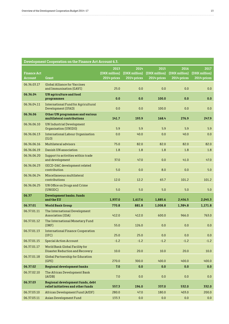| Development Cooperation on the Finance Act Account 6.3. |                                                                   |                                      |                                      |                                      |                                      |                                      |
|---------------------------------------------------------|-------------------------------------------------------------------|--------------------------------------|--------------------------------------|--------------------------------------|--------------------------------------|--------------------------------------|
| <b>Finance Act</b><br>Account                           | Grant                                                             | 2013<br>(DKK million)<br>2014-prices | 2014<br>(DKK million)<br>2014-prices | 2015<br>(DKK million)<br>2014-prices | 2016<br>(DKK million)<br>2014-prices | 2017<br>(DKK million)<br>2014-prices |
| 06.36.03.17                                             | <b>Global Alliance for Vaccines</b><br>and Immunisation (GAVI)    | 25.0                                 | 0.0                                  | 0.0                                  | 0.0                                  | 0.0                                  |
| 06.36.04                                                | <b>UN</b> agriculture and food<br>programmes                      | 0.0                                  | 0.0                                  | 100.0                                | 0.0                                  | 0.0                                  |
| 06.36.04.11                                             | <b>International Fund for Agricultural</b><br>Development (IFAD)  | 0.0                                  | 0.0                                  | 100.0                                | 0.0                                  | 0.0                                  |
| 06.36.06                                                | Other UN programmes and various<br>multilateral contributions     | 141.7                                | 193.9                                | 168.4                                | 276.9                                | 247.9                                |
| 06.36.06.10                                             | <b>UN Industrial Development</b><br>Organisation (UNIDO)          | 5.9                                  | 5.9                                  | 5.9                                  | 5.9                                  | 5.9                                  |
| 06.36.06.13                                             | International Labour Organisation<br>(ILO)                        | 0.0                                  | 40.0                                 | 0.0                                  | 40.0                                 | 0.0                                  |
| 06.36.06.16                                             | Multilateral advisors                                             | 75.0                                 | 82.0                                 | 82.0                                 | 82.0                                 | 82.0                                 |
| 06.36.06.19                                             | Danish UN association                                             | 1.8                                  | 1.8                                  | 1.8                                  | 1.8                                  | 1.8                                  |
| 06.36.06.20                                             | Support to activities within trade<br>and development             | 37.0                                 | 47.0                                 | 0.0                                  | 41.0                                 | 47.0                                 |
| 06.36.06.23                                             | OECD-DAC development related<br>contribution                      | 5.0                                  | 0.0                                  | 8.0                                  | 0.0                                  | 5.0                                  |
| 06.36.06.24                                             | Miscellaneous multilateral<br>contributions                       | 12.0                                 | 12.2                                 | 65.7                                 | 101.2                                | 101.2                                |
| 06.36.06.25                                             | UN Office on Drugs and Crime<br>(UNODC)                           | 5.0                                  | 5.0                                  | 5.0                                  | 5.0                                  | 5.0                                  |
| 06.37                                                   | Development banks. funds<br>and the EU                            | 1,937.0                              | 1,617.6                              | 1,885.6                              | 2,456.5                              | 2,045.3                              |
| 06.37.01                                                | <b>World Bank Group</b>                                           | 770.8                                | 881.8                                | 1,008.8                              | 1,384.8                              | 1,171.8                              |
| 06.37.01.11                                             | The International Development<br>Association (IDA)                | 412.0                                | 412.0                                | 600.0                                | 966.0                                | 763.0                                |
| 06.37.01.12                                             | The International Monetary Fund<br>[IMF]                          | 55.0                                 | 126.0                                | 0.0                                  | 0.0                                  | 0.0                                  |
| 06.37.01.13                                             | <b>International Finance Cooperation</b><br>(IFC)                 | 25.0                                 | 25.0                                 | 0.0                                  | 0.0                                  | 0.0                                  |
| 06.37.01.15                                             | <b>Special Action Account</b>                                     | $-1.2$                               | $-1.2$                               | $-1.2$                               | $-1.2$                               | $-1.2$                               |
| 06.37.01.17                                             | World Bank Global Facility for<br>Disaster Reduction and Recovery | 10.0                                 | 20.0                                 | 10.0                                 | 20.0                                 | 10.0                                 |
| 06.37.01.18                                             | Global Partnership for Education<br>(GPE)                         | 270.0                                | 300.0                                | 400.0                                | 400.0                                | 400.0                                |
| 06.37.02                                                | <b>Regional development banks</b>                                 | 7.0                                  | $0.0\,$                              | 0.0                                  | 0.0                                  | 0.0                                  |
|                                                         |                                                                   |                                      |                                      |                                      |                                      |                                      |

06.37.02.10 The African Development Bank (AfDB) 7.0 0.0 0.0 0.0 0.0 0.0 0.0 0.0 0.0 **06.37.03 Regional development funds, debt relief initiatives and other funds 557.3 196.0 337.0 532.0 332.0** 06.37.03.10 African Development Fund (AfDF) 280.0 47.0 180.0 403.0 403.0 200.0 06.37.03.11 Asian Development Fund 133.3 0.0 0.0 0.0 0.0 0.0 0.0 0.0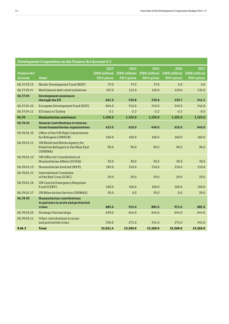| Development Cooperation on the Finance Act Account 6.3. |                                                                                    |                                      |                                      |                                      |                                      |                                      |
|---------------------------------------------------------|------------------------------------------------------------------------------------|--------------------------------------|--------------------------------------|--------------------------------------|--------------------------------------|--------------------------------------|
| <b>Finance Act</b><br><b>Account</b>                    | <b>Grant</b>                                                                       | 2013<br>(DKK million)<br>2014-prices | 2014<br>(DKK million)<br>2014-prices | 2015<br>(DKK million)<br>2014-prices | 2016<br>(DKK million)<br>2014-prices | 2017<br>(DKK million)<br>2014-prices |
|                                                         |                                                                                    |                                      |                                      |                                      |                                      |                                      |
| 06.37.03.13                                             | Nordic Development Fund (NDF)                                                      | 37.0                                 | 37.0                                 | 37.0                                 | 0.0                                  | 0.0                                  |
| 06.37.03.14                                             | Multilateral debt relief initiatives                                               | 107.0                                | 112.0                                | 120.0                                | 129.0                                | 132.0                                |
| 06.37.04                                                | Development assistance<br>through the EU                                           | 601.9                                | 539.8                                | 539.8                                | 539.7                                | 541.5                                |
| 06.37.04.10                                             | European Development Fund (EDF)                                                    | 604.0                                | 542.0                                | 542.0                                | 542.0                                | 542.0                                |
| 06.37.04.11                                             | EU loans to Turkey                                                                 | $-2.1$                               | $-2.2$                               | $-2.2$                               | $-2.3$                               | $-0.5$                               |
| 06.39                                                   | Humanitarian assistance                                                            | 1,500.0                              | 1,525.0                              | 1,525.0                              | 1,525.0                              | 1,525.0                              |
| 06.39.01                                                | General contributions to interna-<br>tional humanitarian organisations             | 615.0                                | 610.0                                | 640.0                                | 610.0                                | 640.0                                |
| 06.39.01.10                                             | Office of the UN High Commisioner<br>for Refugees (UNHCR)                          | 160.0                                | 160.0                                | 160.0                                | 160.0                                | 160.0                                |
| 06.39.01.11                                             | UN Relief and Works Agency for<br>Palestine Refugees in the Near East<br>(UNRWA)   | 90.0                                 | 90.0                                 | 90.0                                 | 90.0                                 | 90.0                                 |
| 06.39.01.12                                             | UN Office for Coordination of<br>Humanitarian Affairs (OCHA)                       | 30.0                                 | 30.0                                 | 30.0                                 | 30.0                                 | 30.0                                 |
| 06.39.01.13                                             | Humanitarian food aid (WFP)                                                        | 185.0                                | 210.0                                | 210.0                                | 210.0                                | 210.0                                |
| 06.39.01.14                                             | <b>International Commitee</b><br>of the Red Cross (ICRC)                           | 20.0                                 | 20.0                                 | 20.0                                 | 20.0                                 | 20.0                                 |
| 06.39.01.16                                             | <b>UN Central Emergency Response</b><br>Fund (CERF)                                | 100.0                                | 100.0                                | 100.0                                | 100.0                                | 100.0                                |
| 06.39.01.17                                             | <b>UN Mine Action Service (UNMAS)</b>                                              | 30.0                                 | 0.0                                  | 30.0                                 | 0.0                                  | 30.0                                 |
| 06.39.03                                                | <b>Humanitarian contributions</b><br>to partners in acute and protracted<br>crises | 885.0                                | 915.0                                | 885.0                                | 915.0                                | 885.0                                |
|                                                         |                                                                                    |                                      |                                      |                                      |                                      |                                      |
| 06.39.03.10                                             | <b>Strategic Partnerships</b>                                                      | 629.0                                | 644.0                                | 644.0                                | 644.0                                | 644.0                                |
| 06.39.03.11                                             | Other contributions to acute<br>and protracted crises                              | 256.0                                | 271.0                                | 241.0                                | 271.0                                | 241.0                                |
| \$06.3                                                  | <b>Total</b>                                                                       | 13,011.4                             | 13,269.0                             | 13,269.0                             | 13,269.0                             | 13,269.0                             |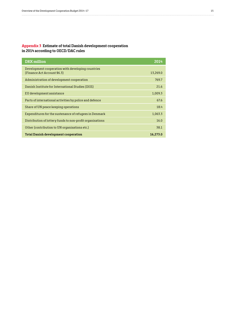#### **Appendix 3 Estimate of total Danish development cooperation in 2014 according to OECD/DAC rules**

| <b>DKK</b> million                                                              | 2014     |
|---------------------------------------------------------------------------------|----------|
| Development cooperation with developing countries<br>(Finance Act Account §6.3) | 13.269.0 |
| Administration of development cooperation                                       | 769.7    |
| Danish Institute for International Studies (DIIS)                               | 21.6     |
| EU development assistance                                                       | 1,009.3  |
| Parts of international activities by police and defence                         | 67.6     |
| Share of UN peace keeping operations                                            | 18.4     |
| Expenditures for the sustenance of refugees in Denmark                          | 1,063.3  |
| Distribution of lottery funds to non-profit organisations                       | 16.0     |
| Other (contribution to UN organisations etc.)                                   | 38.1     |
| Total Danish development cooperation                                            | 16.273.0 |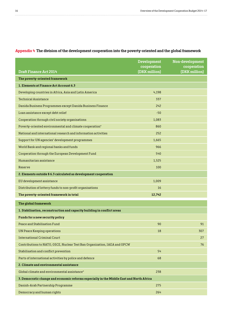|                                                                                          | <b>Development</b><br>cooperation | Non-development<br>cooperation |
|------------------------------------------------------------------------------------------|-----------------------------------|--------------------------------|
| <b>Draft Finance Act 2014</b>                                                            | (DKK million)                     | (DKK million)                  |
| The poverty-oriented framework                                                           |                                   |                                |
| 1. Elements at Finance Act Account 6.3                                                   |                                   |                                |
| Developing countries in Africa, Asia and Latin America                                   | 4,198                             |                                |
| <b>Technical Assistance</b>                                                              | 337                               |                                |
| Danida Business Programmes except Danida Business Finance                                | 242                               |                                |
| Loan assistance except debt relief                                                       | $-50$                             |                                |
| Cooperation through civil society organisations                                          | 1,083                             |                                |
| Poverty-oriented environmental and climate cooperation*                                  | 860                               |                                |
| National and international research and information activities                           | 252                               |                                |
| Support for UN agencies' development programmes                                          | 1,665                             |                                |
| World Bank and regional banks and funds                                                  | 966                               |                                |
| Cooperation through the European Development Fund                                        | 540                               |                                |
| Humanitarian assistance                                                                  | 1,525                             |                                |
| Reserve                                                                                  | 100                               |                                |
| 2. Elements outside § 6.3 calculated as development cooperation                          |                                   |                                |
| EU development assistance                                                                | 1,009                             |                                |
| Distribution of lottery funds to non-profit organisations                                | 16                                |                                |
| The poverty-oriented framework in total                                                  | 12,742                            |                                |
| The global framework                                                                     |                                   |                                |
| 1. Stabilisation, reconstruction and capacity building in conflict areas                 |                                   |                                |
| Funds for a new security policy                                                          |                                   |                                |
| Peace and Stabilisation Fund                                                             | 90                                | 91                             |
| <b>UN Peace Keeping operations</b>                                                       | 18                                | 307                            |
| <b>International Criminal Court</b>                                                      |                                   | 27                             |
| Contributions to NATO, OSCE, Nuclear Test Ban Organization, IAEA and OPCW                |                                   | 76                             |
| Stabilisation and conflict prevention                                                    | 54                                |                                |
| Parts of international activities by police and defence                                  | 68                                |                                |
| 2. Climate and environmental assistance                                                  |                                   |                                |
| Global climate and environmental assistance*                                             | 238                               |                                |
| 3. Democratic change and economic reforms especially in the Middle East and North Africa |                                   |                                |
| Danish-Arab Partnership Programme                                                        | 275                               |                                |
| Democracy and human rights                                                               | 264                               |                                |

#### **Appendix 4 The division of the development cooperation into the poverty-oriented and the global framework**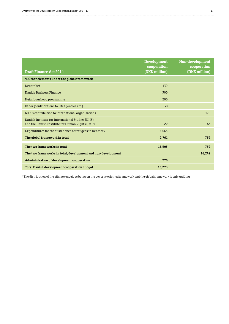|                                                                                                      | <b>Development</b><br>cooperation | Non-development<br>cooperation |
|------------------------------------------------------------------------------------------------------|-----------------------------------|--------------------------------|
| <b>Draft Finance Act 2014</b>                                                                        | (DKK million)                     | (DKK million)                  |
| 4. Other elements under the global framework                                                         |                                   |                                |
| Debt relief                                                                                          | 132                               |                                |
| Danida Business Finance                                                                              | 300                               |                                |
| Neighbourhood programme                                                                              | 200                               |                                |
| Other (contributions to UN agencies etc.)                                                            | 38                                |                                |
| MFA's contribution to international organisations                                                    |                                   | 175                            |
| Danish Institute for International Studies (DIIS)<br>and the Danish Institute for Human Rights (IMR) | 22                                | 63                             |
| Expenditures for the sustenance of refugees in Denmark                                               | 1,063                             |                                |
| The global framework in total                                                                        | 2,761                             | 739                            |
| The two frameworks in total                                                                          | 15,503                            | 739                            |
| The two frameworks in total, development and non-development                                         |                                   | 16,242                         |
| Administration of development cooperation                                                            | 770                               |                                |
| <b>Total Danish development cooperation budget</b>                                                   | 16,273                            |                                |

\* The distribution of the climate envelope between the poverty-oriented framework and the global framework is only guiding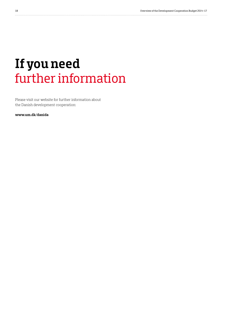### **If you need** further information

Please visit our website for further information about the Danish development cooperation:

**www.um.dk/danida**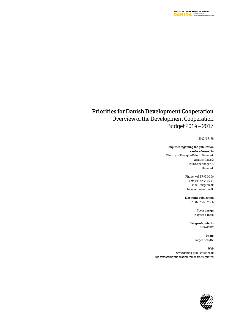#### **Priorities for Danish Development Cooperation**

### Overview of the Development Cooperation Budget 2014 – 2017

2012/13 : 38

#### **Enquiries regarding the publication can be adressed to**

Ministry of Foreign Affairs of Denmark Asiatisk Plads 2 1448 Copenhagen K Denmark

> Phone: +45 33 92 00 00 Fax: +45 32 54 05 33 E-mail: um@um.dk Internet: www.um.dk

> **Electronic publication** 978-87-7087-759-6

> > **Cover design** e-Types & India

**Design of contents** BGRAPHIC

> **Photo** Jørgen Schytte

**Web**  www.danida-publikationer.dk The text of this publication can be freely quoted